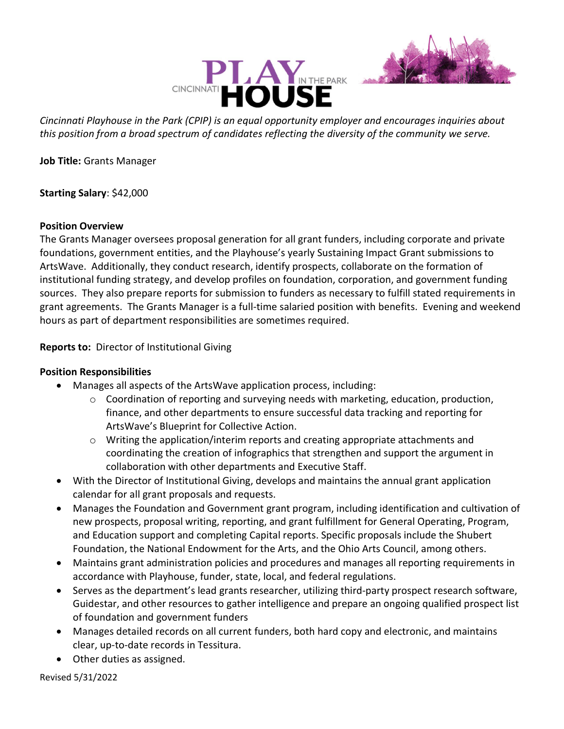



Cincinnati Playhouse in the Park (CPIP) is an equal opportunity employer and encourages inquiries about this position from a broad spectrum of candidates reflecting the diversity of the community we serve.

Job Title: Grants Manager

Starting Salary: \$42,000

## Position Overview

The Grants Manager oversees proposal generation for all grant funders, including corporate and private foundations, government entities, and the Playhouse's yearly Sustaining Impact Grant submissions to ArtsWave. Additionally, they conduct research, identify prospects, collaborate on the formation of institutional funding strategy, and develop profiles on foundation, corporation, and government funding sources. They also prepare reports for submission to funders as necessary to fulfill stated requirements in grant agreements. The Grants Manager is a full-time salaried position with benefits. Evening and weekend hours as part of department responsibilities are sometimes required.

Reports to: Director of Institutional Giving

## Position Responsibilities

- Manages all aspects of the ArtsWave application process, including:
	- o Coordination of reporting and surveying needs with marketing, education, production, finance, and other departments to ensure successful data tracking and reporting for ArtsWave's Blueprint for Collective Action.
	- o Writing the application/interim reports and creating appropriate attachments and coordinating the creation of infographics that strengthen and support the argument in collaboration with other departments and Executive Staff.
- With the Director of Institutional Giving, develops and maintains the annual grant application calendar for all grant proposals and requests.
- Manages the Foundation and Government grant program, including identification and cultivation of new prospects, proposal writing, reporting, and grant fulfillment for General Operating, Program, and Education support and completing Capital reports. Specific proposals include the Shubert Foundation, the National Endowment for the Arts, and the Ohio Arts Council, among others.
- Maintains grant administration policies and procedures and manages all reporting requirements in accordance with Playhouse, funder, state, local, and federal regulations.
- Serves as the department's lead grants researcher, utilizing third-party prospect research software, Guidestar, and other resources to gather intelligence and prepare an ongoing qualified prospect list of foundation and government funders
- Manages detailed records on all current funders, both hard copy and electronic, and maintains clear, up-to-date records in Tessitura.
- Other duties as assigned.